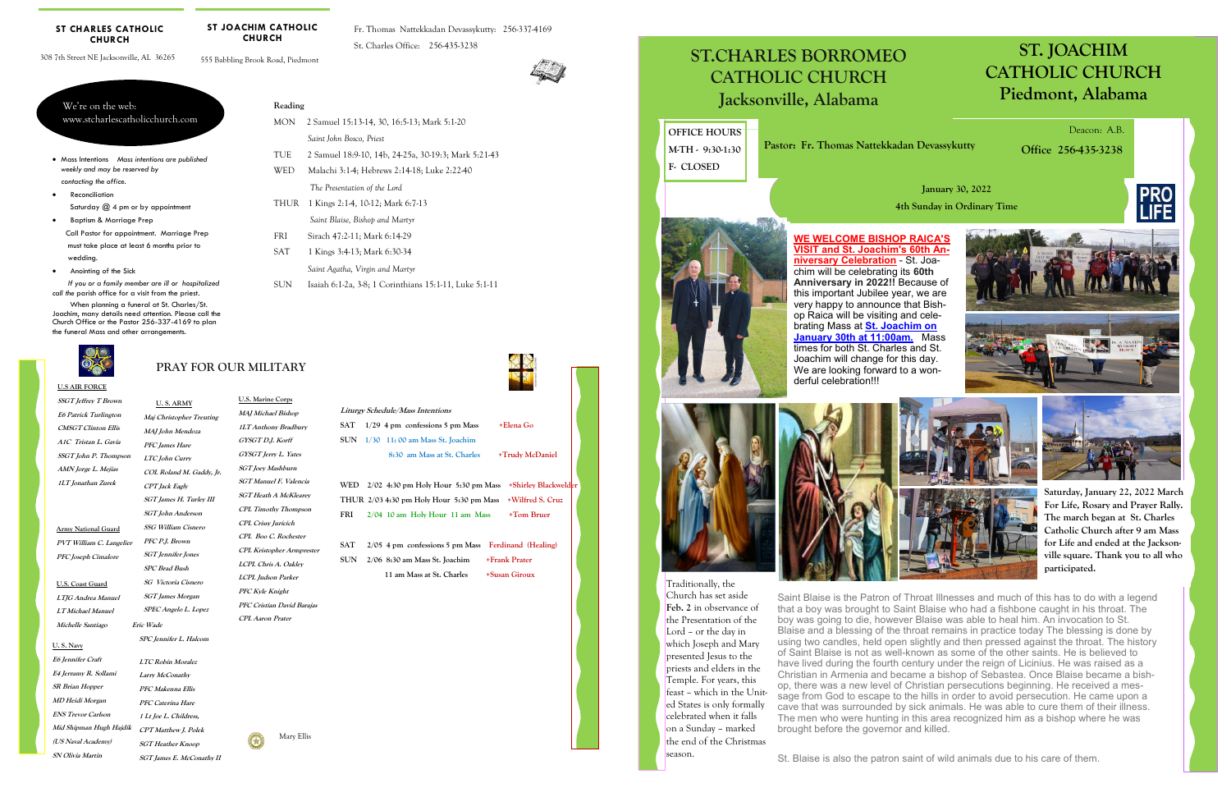#### **U.S AIR FORCE**

**SSGT Jeffrey T Brown E6 Patrick Turlington CMSGT Clinton Ellis A1C Tristan L. Gavia SSGT John P. Thompson AMN Jorge L. Mejias 1LT Jonathan Zurek** 

# **PRAY FOR OUR MILITARY**

#### **ST CHARLES CATHOLIC CHURCH**

**Army National Guard PVT William C. Langelier PFC Joseph Cimalore** 

**U.S. Coast Guard LTJG Andrea Manuel LT Michael Manuel Michelle Santiago** 

| www.stcharlescatholicchurch.com |  |
|---------------------------------|--|
|                                 |  |

308 7th Street NE Jacksonville, AL 36265

 $We're on the we'$ 

555 Babbling Brook Road, Piedmont

**ST JOACHIM CATHOLIC CHURCH** 

Fr. Thomas Nattekkadan Devassykutty: 256-337-4169 St. Charles Office: 256-435-3238



FRI Sirach 47:2-11; Mark 6:14-29 SAT 1 Kings 3:4-13; Mark 6:30-34

- Mass Intentions *Mass intentions are published weekly and may be reserved by contacting the office.*
- Reconciliation Saturday  $(2, 4, p$ m or by appointment
- Baptism & Marriage Prep Call Pastor for appointment. Marriage Prep must take place at least 6 months prior to wedding.
- Anointing of the Sick

 *If you or a family member are ill or hospitalized call the* parish office for a visit from the priest.

> WED 2/02 4:30 pm Holy Hour 5:30 pm Mass +Shirley Blackwelde **THUR 2/03 4:30 pm Holy Hour 5:30 pm Mass +Wilfred S. Cruz FRI 2/04 10 am Holy Hour 11 am Mass +Tom Bruer**

 When planning a funeral at St. Charles/St. Joachim, many details need attention. Please call the Church Office or the Pastor 256-337-4169 to plan the funeral Mass and other arrangements.



#### **Reading**

MON 2 Samuel 15:13-14, 30, 16:5-13; Mark 5:1-20

WED Malachi 3:14; Hebrews 2:14-18; Luke 2:2240

*Saint John Bosco, Priest* 

 **U. S. ARMY Maj Christopher Treuting MAJ John Mendoza PFC James Hare LTC John Curry COL Roland M. Gaddy, Jr. CPT Jack Eagly SGT James H. Turley III SGT John Anderson SSG William Cisnero PFC P.J. Brown SGT Jennifer Jones SPC Brad Bush SG Victoria Cisnero SGT James Morgan U.S. Marine Corps** 

TUE 2 Samuel 18:9-10, 14b, 24-25a, 30-19:3; Mark 5:21-43

 *The Presentation of the Lord*  THUR 1 Kings 2:1-4, 10-12; Mark 6:7-13

*Saint Blaise, Bishop and Martyr* 

*Saint Agatha, Virgin and Martyr* 

**SPEC Angelo L. Lopez MAJ Michael Bishop 1LT Anthony Bradbury GYSGT D.J. Korff GYSGT Jerry L. Yates SGT Joey Mashburn SGT Manuel F. Valencia SGT Heath A McKlearey CPL Timothy Thompson CPL Crissy Juricich CPL Boo C. Rochester CPL Kristopher Armprester LCPL Chris A. Oakley LCPL Judson Parker PFC Kyle Knight PFC Cristian David Barajas** 

SUN Isaiah 6:1-2a, 3-8; 1 Corinthians 15:1-11, Luke 5:1-11

 **Eric Wade** 

**SPC Jennifer L. Halcom** 

**LTC Robin Moralez Larry McConathy PFC Makenna Ellis PFC Caterina Hare 1 Lt Joe L. Childress,** 

**SGT Heather Knoop** 



**SGT James E. McConathy II** 

#### **U. S. Navy**

**CPT Matthew J. Polek Mid Shipman Hugh Hajdik E6 Jennifer Craft E4 Jerramy R. Sollami SR Brian Hopper MD Heidi Morgan ENS Trevor Carlson (US Naval Academy) SN Olivia Martin** 

|  | Liturgy Schedule/Mass Intentions      |                 |
|--|---------------------------------------|-----------------|
|  | SAT $1/29$ 4 pm confessions 5 pm Mass | +Elena Go       |
|  | SUN 1/30 11:00 am Mass St. Joachim    |                 |
|  | 8:30 am Mass at St. Charles           | +Trudy McDaniel |

**SAT 2/05 4 pm confessions 5 pm Mass Ferdinand (Healing) SUN 2/06 8:30 am Mass St. Joachim +Frank Prater 11 am Mass at St. Charles +Susan Giroux** 

Mary Ellis



**CPL Aaron Prater** 

# ST.CHARLES BORROMEO **ST.CHARLES BORROMEO ST.CHARLES BORROMEO**  CATHOLIC CHURCH **CATHOLIC CHURCH CATHOLIC CHURCH**

# **ST. JOACHIM CATHOLIC CHURCH Piedmont, Alabama**

Jacksonville, Alabama **Jacksonville, Alabama Jacksonville, Alabama**

# **January 30, 2022 4th Sunday in Ordinary Time**

 Deacon: A.B. **Office 256-435-3238** 

**OFFICE HOURS M-TH - 9:30-1:30 F- CLOSED** 

**Pastor: Fr. Thomas Nattekkadan Devassykutty** 

Traditionally, the Church has set aside **Feb. 2** in observance of the Presentation of the Lord – or the day in which Joseph and Mary presented Jesus to the priests and elders in the Temple. For years, this feast – which in the United States is only formally celebrated when it falls on a Sunday – marked the end of the Christmas season.

Saint Blaise is the Patron of Throat Illnesses and much of this has to do with a legend that a boy was brought to Saint Blaise who had a fishbone caught in his throat. The boy was going to die, however Blaise was able to heal him. An invocation to St. Blaise and a blessing of the throat remains in practice today The blessing is done by using two candles, held open slightly and then pressed against the throat. The history of Saint Blaise is not as well-known as some of the other saints. He is believed to have lived during the fourth century under the reign of Licinius. He was raised as a Christian in Armenia and became a bishop of Sebastea. Once Blaise became a bishop, there was a new level of Christian persecutions beginning. He received a message from God to escape to the hills in order to avoid persecution. He came upon a cave that was surrounded by sick animals. He was able to cure them of their illness. The men who were hunting in this area recognized him as a bishop where he was brought before the governor and killed.

St. Blaise is also the patron saint of wild animals due to his care of them.



# **WE WELCOME BISHOP RAICA'S**









**niversary Celebration** - St. Joachim will be celebrating its **60th Anniversary in 2022!!** Because of this important Jubilee year, we are very happy to announce that Bishop Raica will be visiting and celebrating Mass at **St. Joachim on January 30th at 11:00am.** Mass times for both St. Charles and St. Joachim will change for this day. We are looking forward to a wonderful celebration!!!



**Saturday, January 22, 2022 March For Life, Rosary and Prayer Rally. The march began at St. Charles Catholic Church after 9 am Mass for Life and ended at the Jacksonville square. Thank you to all who participated.**